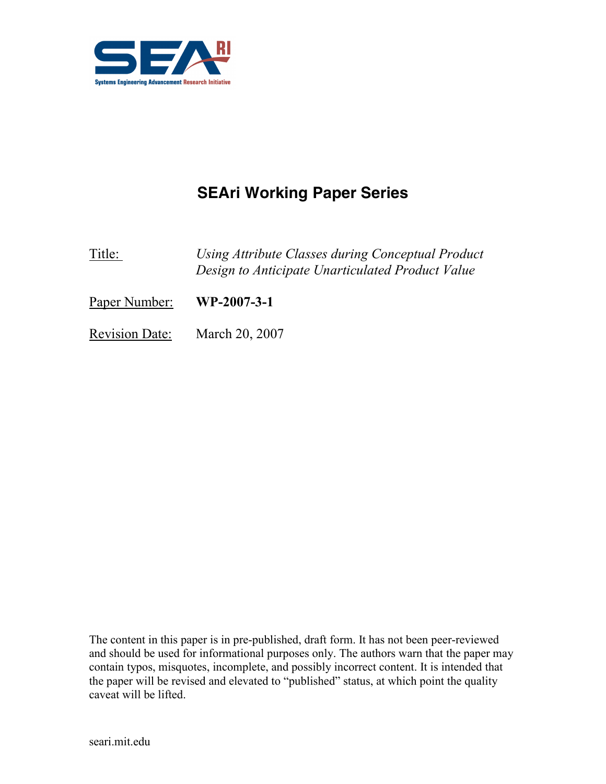

# SEAri Working Paper Series

Title: Using Attribute Classes during Conceptual Product Design to Anticipate Unarticulated Product Value

Paper Number: WP-2007-3-1

Revision Date: March 20, 2007

The content in this paper is in pre-published, draft form. It has not been peer-reviewed and should be used for informational purposes only. The authors warn that the paper may contain typos, misquotes, incomplete, and possibly incorrect content. It is intended that the paper will be revised and elevated to "published" status, at which point the quality caveat will be lifted.

seari.mit.edu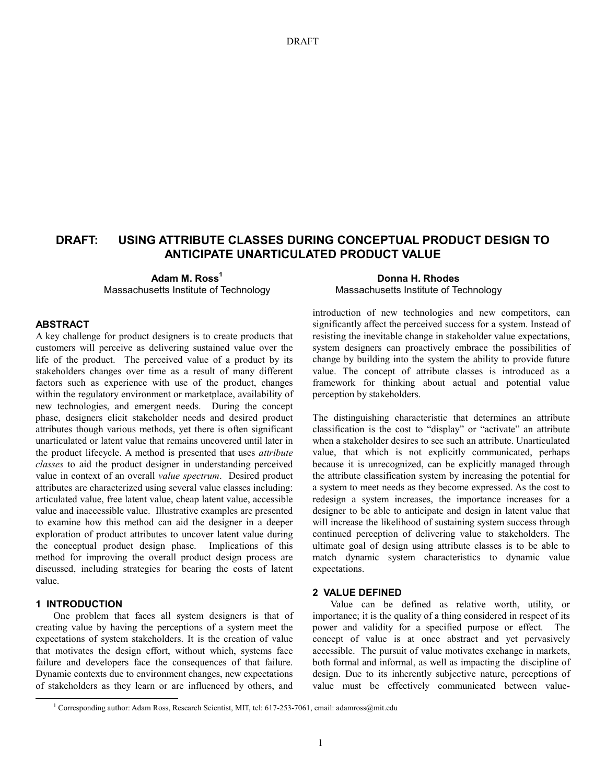## DRAFT: USING ATTRIBUTE CLASSES DURING CONCEPTUAL PRODUCT DESIGN TO ANTICIPATE UNARTICULATED PRODUCT VALUE

Adam M. Ross<sup>1</sup> Massachusetts Institute of Technology

### ABSTRACT

A key challenge for product designers is to create products that customers will perceive as delivering sustained value over the life of the product. The perceived value of a product by its stakeholders changes over time as a result of many different factors such as experience with use of the product, changes within the regulatory environment or marketplace, availability of new technologies, and emergent needs. During the concept phase, designers elicit stakeholder needs and desired product attributes though various methods, yet there is often significant unarticulated or latent value that remains uncovered until later in the product lifecycle. A method is presented that uses attribute classes to aid the product designer in understanding perceived value in context of an overall value spectrum. Desired product attributes are characterized using several value classes including: articulated value, free latent value, cheap latent value, accessible value and inaccessible value. Illustrative examples are presented to examine how this method can aid the designer in a deeper exploration of product attributes to uncover latent value during the conceptual product design phase. Implications of this method for improving the overall product design process are discussed, including strategies for bearing the costs of latent value.

## 1 INTRODUCTION

 $\overline{a}$ 

One problem that faces all system designers is that of creating value by having the perceptions of a system meet the expectations of system stakeholders. It is the creation of value that motivates the design effort, without which, systems face failure and developers face the consequences of that failure. Dynamic contexts due to environment changes, new expectations of stakeholders as they learn or are influenced by others, and

Donna H. Rhodes Massachusetts Institute of Technology

introduction of new technologies and new competitors, can significantly affect the perceived success for a system. Instead of resisting the inevitable change in stakeholder value expectations, system designers can proactively embrace the possibilities of change by building into the system the ability to provide future value. The concept of attribute classes is introduced as a framework for thinking about actual and potential value perception by stakeholders.

The distinguishing characteristic that determines an attribute classification is the cost to "display" or "activate" an attribute when a stakeholder desires to see such an attribute. Unarticulated value, that which is not explicitly communicated, perhaps because it is unrecognized, can be explicitly managed through the attribute classification system by increasing the potential for a system to meet needs as they become expressed. As the cost to redesign a system increases, the importance increases for a designer to be able to anticipate and design in latent value that will increase the likelihood of sustaining system success through continued perception of delivering value to stakeholders. The ultimate goal of design using attribute classes is to be able to match dynamic system characteristics to dynamic value expectations.

#### 2 VALUE DEFINED

Value can be defined as relative worth, utility, or importance; it is the quality of a thing considered in respect of its power and validity for a specified purpose or effect. The concept of value is at once abstract and yet pervasively accessible. The pursuit of value motivates exchange in markets, both formal and informal, as well as impacting the discipline of design. Due to its inherently subjective nature, perceptions of value must be effectively communicated between value-

<sup>&</sup>lt;sup>1</sup> Corresponding author: Adam Ross, Research Scientist, MIT, tel: 617-253-7061, email: adamross@mit.edu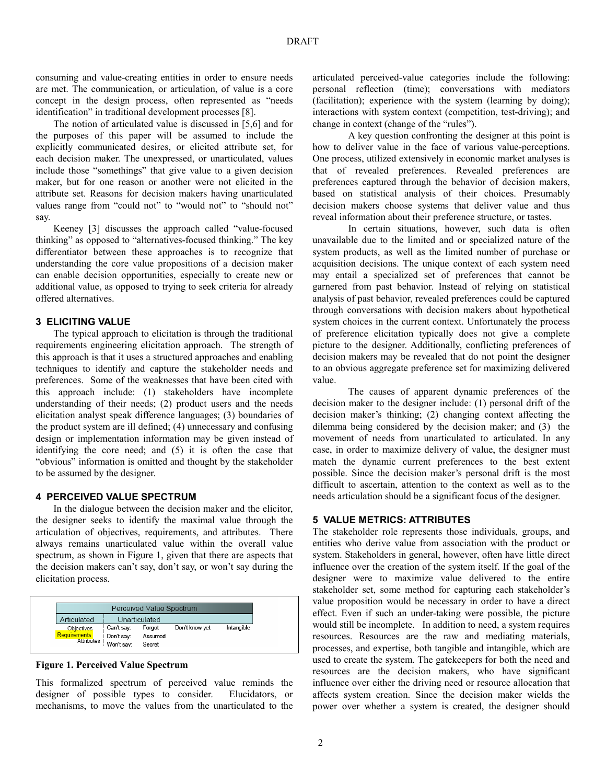consuming and value-creating entities in order to ensure needs are met. The communication, or articulation, of value is a core concept in the design process, often represented as "needs identification" in traditional development processes [8].

The notion of articulated value is discussed in [5,6] and for the purposes of this paper will be assumed to include the explicitly communicated desires, or elicited attribute set, for each decision maker. The unexpressed, or unarticulated, values include those "somethings" that give value to a given decision maker, but for one reason or another were not elicited in the attribute set. Reasons for decision makers having unarticulated values range from "could not" to "would not" to "should not" say.

Keeney [3] discusses the approach called "value-focused thinking" as opposed to "alternatives-focused thinking." The key differentiator between these approaches is to recognize that understanding the core value propositions of a decision maker can enable decision opportunities, especially to create new or additional value, as opposed to trying to seek criteria for already offered alternatives.

## 3 ELICITING VALUE

The typical approach to elicitation is through the traditional requirements engineering elicitation approach. The strength of this approach is that it uses a structured approaches and enabling techniques to identify and capture the stakeholder needs and preferences. Some of the weaknesses that have been cited with this approach include: (1) stakeholders have incomplete understanding of their needs; (2) product users and the needs elicitation analyst speak difference languages; (3) boundaries of the product system are ill defined; (4) unnecessary and confusing design or implementation information may be given instead of identifying the core need; and (5) it is often the case that "obvious" information is omitted and thought by the stakeholder to be assumed by the designer.

### 4 PERCEIVED VALUE SPECTRUM

In the dialogue between the decision maker and the elicitor, the designer seeks to identify the maximal value through the articulation of objectives, requirements, and attributes. There always remains unarticulated value within the overall value spectrum, as shown in Figure 1, given that there are aspects that the decision makers can't say, don't say, or won't say during the elicitation process.

| Perceived Value Spectrum |               |         |                |            |  |  |
|--------------------------|---------------|---------|----------------|------------|--|--|
| Articulated              | Unarticulated |         |                |            |  |  |
| <b>Objectives</b>        | Can't say:    | Forgot  | Don't know yet | Intangible |  |  |
| Requirements             | I Don't say:  | Assumed |                |            |  |  |
| Attributes               | Won't say:    | Secret  |                |            |  |  |

## Figure 1. Perceived Value Spectrum

This formalized spectrum of perceived value reminds the designer of possible types to consider. Elucidators, or mechanisms, to move the values from the unarticulated to the articulated perceived-value categories include the following: personal reflection (time); conversations with mediators (facilitation); experience with the system (learning by doing); interactions with system context (competition, test-driving); and change in context (change of the "rules").

A key question confronting the designer at this point is how to deliver value in the face of various value-perceptions. One process, utilized extensively in economic market analyses is that of revealed preferences. Revealed preferences are preferences captured through the behavior of decision makers, based on statistical analysis of their choices. Presumably decision makers choose systems that deliver value and thus reveal information about their preference structure, or tastes.

In certain situations, however, such data is often unavailable due to the limited and or specialized nature of the system products, as well as the limited number of purchase or acquisition decisions. The unique context of each system need may entail a specialized set of preferences that cannot be garnered from past behavior. Instead of relying on statistical analysis of past behavior, revealed preferences could be captured through conversations with decision makers about hypothetical system choices in the current context. Unfortunately the process of preference elicitation typically does not give a complete picture to the designer. Additionally, conflicting preferences of decision makers may be revealed that do not point the designer to an obvious aggregate preference set for maximizing delivered value.

The causes of apparent dynamic preferences of the decision maker to the designer include: (1) personal drift of the decision maker's thinking; (2) changing context affecting the dilemma being considered by the decision maker; and (3) the movement of needs from unarticulated to articulated. In any case, in order to maximize delivery of value, the designer must match the dynamic current preferences to the best extent possible. Since the decision maker's personal drift is the most difficult to ascertain, attention to the context as well as to the needs articulation should be a significant focus of the designer.

## 5 VALUE METRICS: ATTRIBUTES

The stakeholder role represents those individuals, groups, and entities who derive value from association with the product or system. Stakeholders in general, however, often have little direct influence over the creation of the system itself. If the goal of the designer were to maximize value delivered to the entire stakeholder set, some method for capturing each stakeholder's value proposition would be necessary in order to have a direct effect. Even if such an under-taking were possible, the picture would still be incomplete. In addition to need, a system requires resources. Resources are the raw and mediating materials, processes, and expertise, both tangible and intangible, which are used to create the system. The gatekeepers for both the need and resources are the decision makers, who have significant influence over either the driving need or resource allocation that affects system creation. Since the decision maker wields the power over whether a system is created, the designer should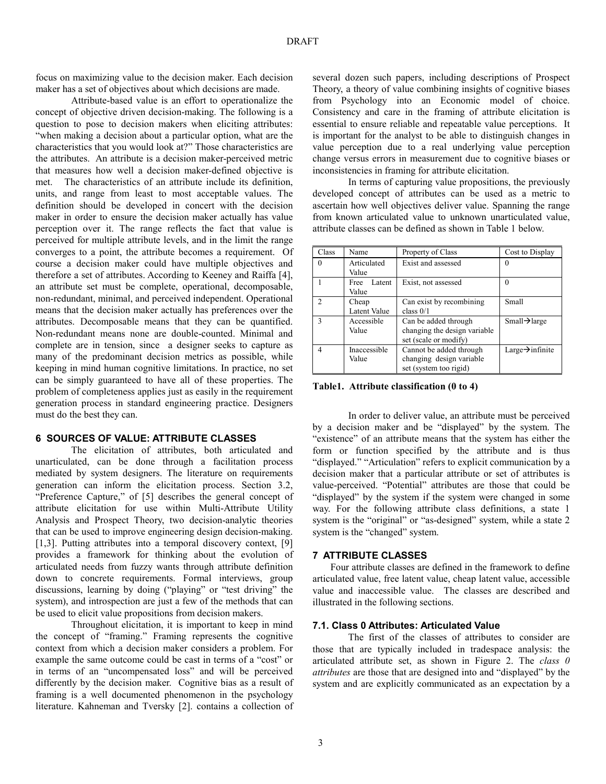focus on maximizing value to the decision maker. Each decision maker has a set of objectives about which decisions are made.

Attribute-based value is an effort to operationalize the concept of objective driven decision-making. The following is a question to pose to decision makers when eliciting attributes: "when making a decision about a particular option, what are the characteristics that you would look at?" Those characteristics are the attributes. An attribute is a decision maker-perceived metric that measures how well a decision maker-defined objective is met. The characteristics of an attribute include its definition, units, and range from least to most acceptable values. The definition should be developed in concert with the decision maker in order to ensure the decision maker actually has value perception over it. The range reflects the fact that value is perceived for multiple attribute levels, and in the limit the range converges to a point, the attribute becomes a requirement. Of course a decision maker could have multiple objectives and therefore a set of attributes. According to Keeney and Raiffa [4], an attribute set must be complete, operational, decomposable, non-redundant, minimal, and perceived independent. Operational means that the decision maker actually has preferences over the attributes. Decomposable means that they can be quantified. Non-redundant means none are double-counted. Minimal and complete are in tension, since a designer seeks to capture as many of the predominant decision metrics as possible, while keeping in mind human cognitive limitations. In practice, no set can be simply guaranteed to have all of these properties. The problem of completeness applies just as easily in the requirement generation process in standard engineering practice. Designers must do the best they can.

## 6 SOURCES OF VALUE: ATTRIBUTE CLASSES

The elicitation of attributes, both articulated and unarticulated, can be done through a facilitation process mediated by system designers. The literature on requirements generation can inform the elicitation process. Section 3.2, "Preference Capture," of [5] describes the general concept of attribute elicitation for use within Multi-Attribute Utility Analysis and Prospect Theory, two decision-analytic theories that can be used to improve engineering design decision-making. [1,3]. Putting attributes into a temporal discovery context, [9] provides a framework for thinking about the evolution of articulated needs from fuzzy wants through attribute definition down to concrete requirements. Formal interviews, group discussions, learning by doing ("playing" or "test driving" the system), and introspection are just a few of the methods that can be used to elicit value propositions from decision makers.

Throughout elicitation, it is important to keep in mind the concept of "framing." Framing represents the cognitive context from which a decision maker considers a problem. For example the same outcome could be cast in terms of a "cost" or in terms of an "uncompensated loss" and will be perceived differently by the decision maker. Cognitive bias as a result of framing is a well documented phenomenon in the psychology literature. Kahneman and Tversky [2]. contains a collection of several dozen such papers, including descriptions of Prospect Theory, a theory of value combining insights of cognitive biases from Psychology into an Economic model of choice. Consistency and care in the framing of attribute elicitation is essential to ensure reliable and repeatable value perceptions. It is important for the analyst to be able to distinguish changes in value perception due to a real underlying value perception change versus errors in measurement due to cognitive biases or inconsistencies in framing for attribute elicitation.

In terms of capturing value propositions, the previously developed concept of attributes can be used as a metric to ascertain how well objectives deliver value. Spanning the range from known articulated value to unknown unarticulated value, attribute classes can be defined as shown in Table 1 below.

| Class          | Name           | Property of Class            | Cost to Display              |
|----------------|----------------|------------------------------|------------------------------|
| $\Omega$       | Articulated    | Exist and assessed           | $\Omega$                     |
|                | Value          |                              |                              |
|                | Latent<br>Free | Exist, not assessed          | $\Omega$                     |
|                | Value          |                              |                              |
| $\mathfrak{D}$ | Cheap          | Can exist by recombining     | Small                        |
|                | Latent Value   | class $0/1$                  |                              |
| $\mathbf{3}$   | Accessible     | Can be added through         | $Small\rightarrow$ large     |
|                | Value          | changing the design variable |                              |
|                |                | set (scale or modify)        |                              |
| 4              | Inaccessible   | Cannot be added through      | Large $\rightarrow$ infinite |
|                | Value          | changing design variable     |                              |
|                |                | set (system too rigid)       |                              |

Table1. Attribute classification (0 to 4)

In order to deliver value, an attribute must be perceived by a decision maker and be "displayed" by the system. The "existence" of an attribute means that the system has either the form or function specified by the attribute and is thus "displayed." "Articulation" refers to explicit communication by a decision maker that a particular attribute or set of attributes is value-perceived. "Potential" attributes are those that could be "displayed" by the system if the system were changed in some way. For the following attribute class definitions, a state 1 system is the "original" or "as-designed" system, while a state 2 system is the "changed" system.

## 7 ATTRIBUTE CLASSES

Four attribute classes are defined in the framework to define articulated value, free latent value, cheap latent value, accessible value and inaccessible value. The classes are described and illustrated in the following sections.

## 7.1. Class 0 Attributes: Articulated Value

The first of the classes of attributes to consider are those that are typically included in tradespace analysis: the articulated attribute set, as shown in Figure 2. The *class*  $\theta$ attributes are those that are designed into and "displayed" by the system and are explicitly communicated as an expectation by a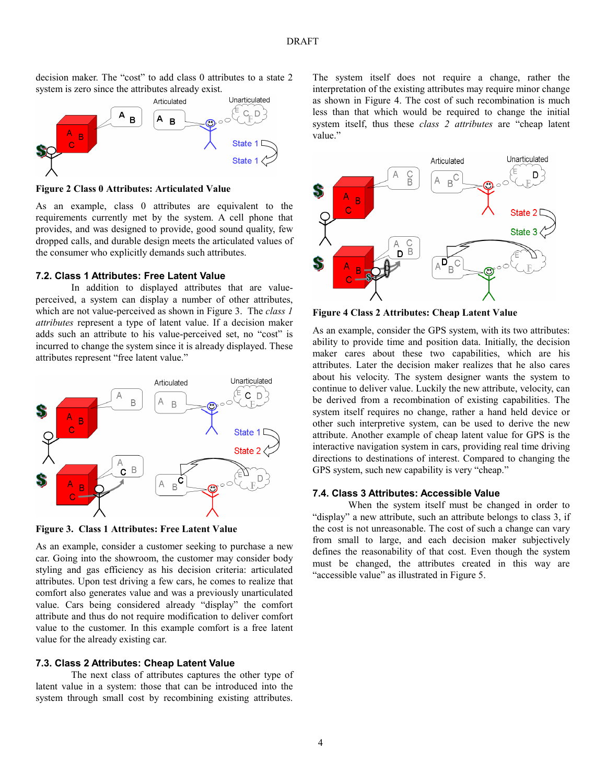

decision maker. The "cost" to add class 0 attributes to a state 2 system is zero since the attributes already exist.

Figure 2 Class 0 Attributes: Articulated Value

As an example, class 0 attributes are equivalent to the requirements currently met by the system. A cell phone that provides, and was designed to provide, good sound quality, few dropped calls, and durable design meets the articulated values of the consumer who explicitly demands such attributes.

## 7.2. Class 1 Attributes: Free Latent Value

In addition to displayed attributes that are valueperceived, a system can display a number of other attributes, which are not value-perceived as shown in Figure 3. The *class 1* attributes represent a type of latent value. If a decision maker adds such an attribute to his value-perceived set, no "cost" is incurred to change the system since it is already displayed. These attributes represent "free latent value."



Figure 3. Class 1 Attributes: Free Latent Value

As an example, consider a customer seeking to purchase a new car. Going into the showroom, the customer may consider body styling and gas efficiency as his decision criteria: articulated attributes. Upon test driving a few cars, he comes to realize that comfort also generates value and was a previously unarticulated value. Cars being considered already "display" the comfort attribute and thus do not require modification to deliver comfort value to the customer. In this example comfort is a free latent value for the already existing car.

#### 7.3. Class 2 Attributes: Cheap Latent Value

The next class of attributes captures the other type of latent value in a system: those that can be introduced into the system through small cost by recombining existing attributes.

The system itself does not require a change, rather the interpretation of the existing attributes may require minor change as shown in Figure 4. The cost of such recombination is much less than that which would be required to change the initial system itself, thus these class 2 attributes are "cheap latent value."



Figure 4 Class 2 Attributes: Cheap Latent Value

As an example, consider the GPS system, with its two attributes: ability to provide time and position data. Initially, the decision maker cares about these two capabilities, which are his attributes. Later the decision maker realizes that he also cares about his velocity. The system designer wants the system to continue to deliver value. Luckily the new attribute, velocity, can be derived from a recombination of existing capabilities. The system itself requires no change, rather a hand held device or other such interpretive system, can be used to derive the new attribute. Another example of cheap latent value for GPS is the interactive navigation system in cars, providing real time driving directions to destinations of interest. Compared to changing the GPS system, such new capability is very "cheap."

#### 7.4. Class 3 Attributes: Accessible Value

When the system itself must be changed in order to "display" a new attribute, such an attribute belongs to class 3, if the cost is not unreasonable. The cost of such a change can vary from small to large, and each decision maker subjectively defines the reasonability of that cost. Even though the system must be changed, the attributes created in this way are "accessible value" as illustrated in Figure 5.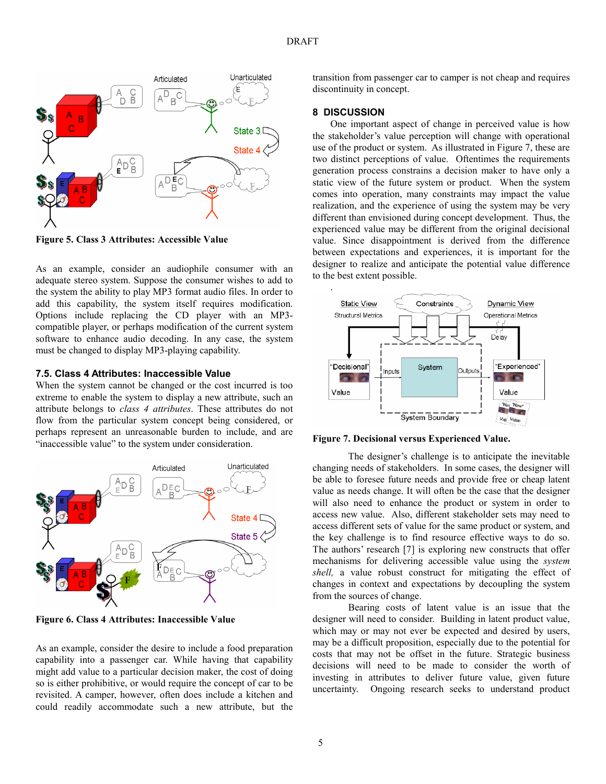

Figure 5. Class 3 Attributes: Accessible Value

As an example, consider an audiophile consumer with an adequate stereo system. Suppose the consumer wishes to add to the system the ability to play MP3 format audio files. In order to add this capability, the system itself requires modification. Options include replacing the CD player with an MP3 compatible player, or perhaps modification of the current system software to enhance audio decoding. In any case, the system must be changed to display MP3-playing capability.

#### 7.5. Class 4 Attributes: Inaccessible Value

When the system cannot be changed or the cost incurred is too extreme to enable the system to display a new attribute, such an attribute belongs to class 4 attributes. These attributes do not flow from the particular system concept being considered, or perhaps represent an unreasonable burden to include, and are "inaccessible value" to the system under consideration.



Figure 6. Class 4 Attributes: Inaccessible Value

As an example, consider the desire to include a food preparation capability into a passenger car. While having that capability might add value to a particular decision maker, the cost of doing so is either prohibitive, or would require the concept of car to be revisited. A camper, however, often does include a kitchen and could readily accommodate such a new attribute, but the transition from passenger car to camper is not cheap and requires discontinuity in concept.

#### 8 DISCUSSION

One important aspect of change in perceived value is how the stakeholder's value perception will change with operational use of the product or system. As illustrated in Figure 7, these are two distinct perceptions of value. Oftentimes the requirements generation process constrains a decision maker to have only a static view of the future system or product. When the system comes into operation, many constraints may impact the value realization, and the experience of using the system may be very different than envisioned during concept development. Thus, the experienced value may be different from the original decisional value. Since disappointment is derived from the difference between expectations and experiences, it is important for the designer to realize and anticipate the potential value difference to the best extent possible.



Figure 7. Decisional versus Experienced Value.

The designer's challenge is to anticipate the inevitable changing needs of stakeholders. In some cases, the designer will be able to foresee future needs and provide free or cheap latent value as needs change. It will often be the case that the designer will also need to enhance the product or system in order to access new value. Also, different stakeholder sets may need to access different sets of value for the same product or system, and the key challenge is to find resource effective ways to do so. The authors' research [7] is exploring new constructs that offer mechanisms for delivering accessible value using the system shell, a value robust construct for mitigating the effect of changes in context and expectations by decoupling the system from the sources of change.

Bearing costs of latent value is an issue that the designer will need to consider. Building in latent product value, which may or may not ever be expected and desired by users, may be a difficult proposition, especially due to the potential for costs that may not be offset in the future. Strategic business decisions will need to be made to consider the worth of investing in attributes to deliver future value, given future uncertainty. Ongoing research seeks to understand product